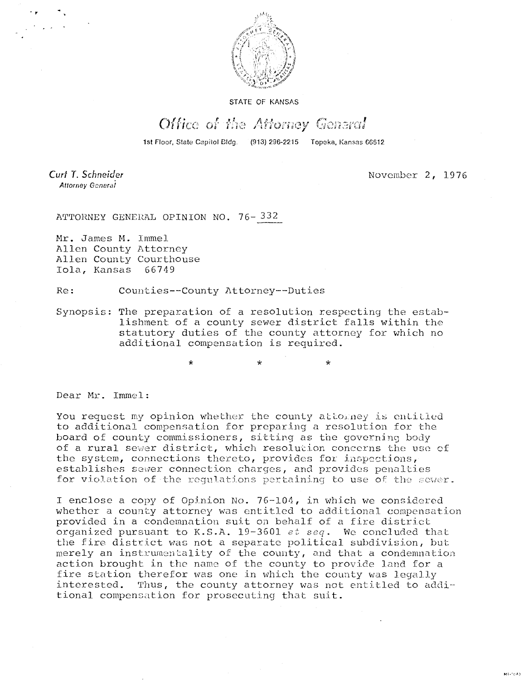

STATE OF KANSAS

## Office of the Attorney General

1st Floor, State Capitol Bldg. (913) 296-2215 Topeka, Kansas 66612

Curt T. Schneider Attorney General

November 2, 1976

ATTORNEY GENERAL OPINION NO. 76-332

Mr. James M. Immel Allen County Attorney Allen County Courthouse Iola, Kansas 66749

Re: Counties--County Attorney--Duties

 $\mathbf{r}$ 

Synopsis: The preparation of a resolution respecting the establishment of a county sewer district falls within the statutory duties of the county attorney for which no additional compensation is required.

Dear Mr. Immel:

You request my opinion whether the county attorney is entitled to additional compensation for preparing a resolution for the board of county commissioners, sitting as the governing body of a rural sewer district, which resolution concerns the use of the system, connections thereto, provides for inspections,• establishes sewer connection charges, and provides penalties for violation of the regulations pertaining to use of the sewer.

I enclose a copy of Opinion No. 76-104, in which we considered whether a county attorney was entitled to additional compensation provided in a condemnation suit on behalf of a fire district organized pursuant to K.S.A. 19-3601 et seq. We concluded that the fire district was not a separate political subdivision, but merely an instrumentality of the county, and that a condemnation action brought in the name of the county to provide land for a fire station therefor was one in which the county was legally interested. Thus, the county attorney was not entitled to additional compensation for prosecuting that suit.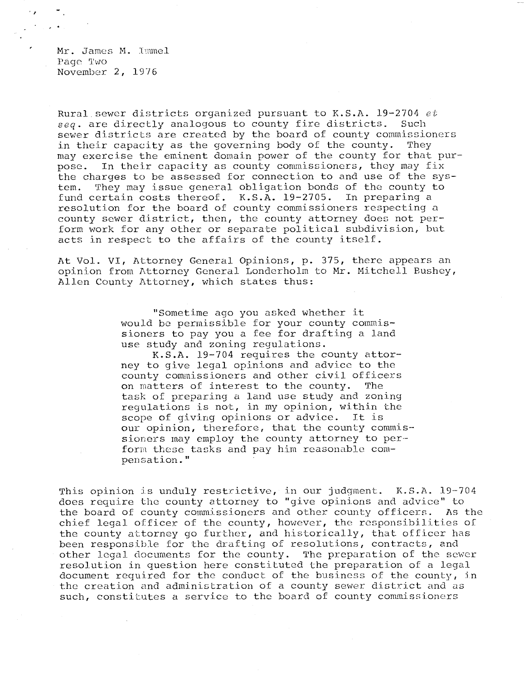Mr. James M. Immel Page Two November 2, 1976

Rural. sewer districts organized pursuant to K.S.A. 19-2704 et seq. are directly analogous to county fire districts. Such sewer districts are created by the board of county commissioners in their capacity as the governing body of the county. They may exercise the eminent domain power of the county for that purpose. In their capacity as county commissioners, they may fix the charges to be assessed for connection to and use of the system. They may issue general obligation bonds of the county to fund certain costs thereof. K.S.A. 19-2705. In preparing a resolution for the board of county commissioners respecting a county sewer district, then, the county attorney does not perform work for any other or separate political subdivision, but acts in respect to the affairs of the county itself.

At Vol. VI, Attorney General Opinions, p. 375, there appears an opinion from Attorney General Londerholm to Mr. Mitchell Bushey, Allen County Attorney, which states thus:

> "Sometime ago you asked whether it would be permissible for your county commissioners to pay you a fee for drafting a land use study and zoning regulations.

K.S.A. 19-704 requires the county attorney to give legal opinions and advice to the county commissioners and other civil officers on matters of interest to the county. The task of preparing a land use study and zoning regulations is not, in my opinion, within the scope of giving opinions or advice. It is our opinion, therefore, that the county commissioners may employ the county attorney to per- form these tasks and pay him reasonable compensation."

This opinion is unduly restrictive, in our judgment. K.S.A. 19-704 does require the county attorney to "give opinions and advice" to the board of county commissioners and other county officers. As the chief legal officer of the county, however, the responsibilities of the county attorney go further, and historically, that officer has been responsible for the drafting of resolutions, contracts, and other legal documents for the county. The preparation of the sewer resolution in question here constituted the preparation of a legal document required for the conduct of the business of the county, in the creation and administration of a county sewer district and as such, constitutes a service to the board of county commissioners